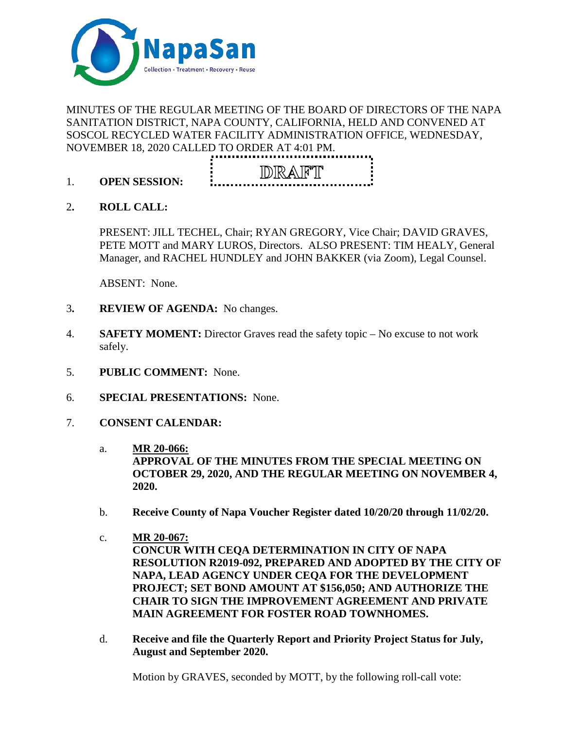

# MINUTES OF THE REGULAR MEETING OF THE BOARD OF DIRECTORS OF THE NAPA SANITATION DISTRICT, NAPA COUNTY, CALIFORNIA, HELD AND CONVENED AT SOSCOL RECYCLED WATER FACILITY ADMINISTRATION OFFICE, WEDNESDAY, NOVEMBER 18, 2020 CALLED TO ORDER AT 4:01 PM.



- 1. **OPEN SESSION:**
- 2**. ROLL CALL:**

PRESENT: JILL TECHEL, Chair; RYAN GREGORY, Vice Chair; DAVID GRAVES, PETE MOTT and MARY LUROS, Directors. ALSO PRESENT: TIM HEALY, General Manager, and RACHEL HUNDLEY and JOHN BAKKER (via Zoom), Legal Counsel.

ABSENT: None.

- 3**. REVIEW OF AGENDA:** No changes.
- 4. **SAFETY MOMENT:** Director Graves read the safety topic No excuse to not work safely.
- 5. **PUBLIC COMMENT:** None.
- 6. **SPECIAL PRESENTATIONS:** None.
- 7. **CONSENT CALENDAR:**
	- a. **MR 20-066: APPROVAL OF THE MINUTES FROM THE SPECIAL MEETING ON OCTOBER 29, 2020, AND THE REGULAR MEETING ON NOVEMBER 4, 2020.**
	- b. **Receive County of Napa Voucher Register dated 10/20/20 through 11/02/20.**
	- c. **MR 20-067: CONCUR WITH CEQA DETERMINATION IN CITY OF NAPA RESOLUTION R2019-092, PREPARED AND ADOPTED BY THE CITY OF NAPA, LEAD AGENCY UNDER CEQA FOR THE DEVELOPMENT PROJECT; SET BOND AMOUNT AT \$156,050; AND AUTHORIZE THE CHAIR TO SIGN THE IMPROVEMENT AGREEMENT AND PRIVATE MAIN AGREEMENT FOR FOSTER ROAD TOWNHOMES.**
	- d. **Receive and file the Quarterly Report and Priority Project Status for July, August and September 2020.**

Motion by GRAVES, seconded by MOTT, by the following roll-call vote: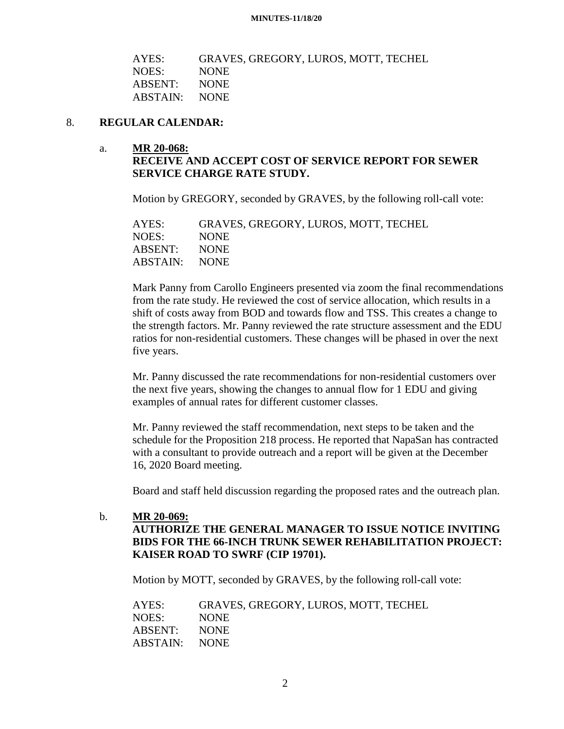| AYES:         | GRAVES, GREGORY, LUROS, MOTT, TECHEL |
|---------------|--------------------------------------|
| NOES:         | NONE.                                |
| ABSENT: NONE  |                                      |
| ABSTAIN: NONE |                                      |
|               |                                      |

#### 8. **REGULAR CALENDAR:**

#### a. **MR 20-068: RECEIVE AND ACCEPT COST OF SERVICE REPORT FOR SEWER SERVICE CHARGE RATE STUDY.**

Motion by GREGORY, seconded by GRAVES, by the following roll-call vote:

| AYES:         | GRAVES, GREGORY, LUROS, MOTT, TECHEL |
|---------------|--------------------------------------|
| NOES:         | NONE.                                |
| ABSENT:       | NONE.                                |
| ABSTAIN: NONE |                                      |
|               |                                      |

Mark Panny from Carollo Engineers presented via zoom the final recommendations from the rate study. He reviewed the cost of service allocation, which results in a shift of costs away from BOD and towards flow and TSS. This creates a change to the strength factors. Mr. Panny reviewed the rate structure assessment and the EDU ratios for non-residential customers. These changes will be phased in over the next five years.

Mr. Panny discussed the rate recommendations for non-residential customers over the next five years, showing the changes to annual flow for 1 EDU and giving examples of annual rates for different customer classes.

Mr. Panny reviewed the staff recommendation, next steps to be taken and the schedule for the Proposition 218 process. He reported that NapaSan has contracted with a consultant to provide outreach and a report will be given at the December 16, 2020 Board meeting.

Board and staff held discussion regarding the proposed rates and the outreach plan.

b. **MR 20-069: AUTHORIZE THE GENERAL MANAGER TO ISSUE NOTICE INVITING BIDS FOR THE 66-INCH TRUNK SEWER REHABILITATION PROJECT: KAISER ROAD TO SWRF (CIP 19701).**

Motion by MOTT, seconded by GRAVES, by the following roll-call vote:

AYES: GRAVES, GREGORY, LUROS, MOTT, TECHEL NOES: NONE ABSENT: NONE ABSTAIN: NONE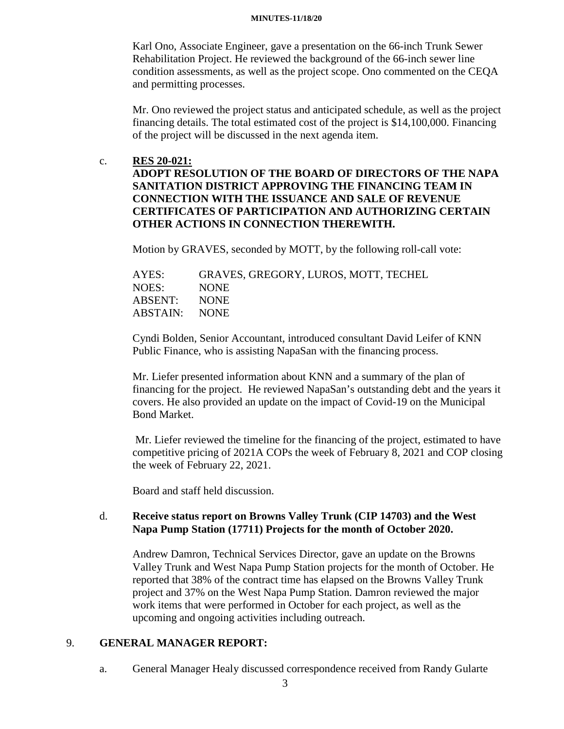#### **MINUTES-11/18/20**

Karl Ono, Associate Engineer, gave a presentation on the 66-inch Trunk Sewer Rehabilitation Project. He reviewed the background of the 66-inch sewer line condition assessments, as well as the project scope. Ono commented on the CEQA and permitting processes.

Mr. Ono reviewed the project status and anticipated schedule, as well as the project financing details. The total estimated cost of the project is \$14,100,000. Financing of the project will be discussed in the next agenda item.

#### c. **RES 20-021:**

# **ADOPT RESOLUTION OF THE BOARD OF DIRECTORS OF THE NAPA SANITATION DISTRICT APPROVING THE FINANCING TEAM IN CONNECTION WITH THE ISSUANCE AND SALE OF REVENUE CERTIFICATES OF PARTICIPATION AND AUTHORIZING CERTAIN OTHER ACTIONS IN CONNECTION THEREWITH.**

Motion by GRAVES, seconded by MOTT, by the following roll-call vote:

| GRAVES, GREGORY, LUROS, MOTT, TECHEL |
|--------------------------------------|
| <b>NONE</b>                          |
| NONE.                                |
| ABSTAIN: NONE                        |
|                                      |

Cyndi Bolden, Senior Accountant, introduced consultant David Leifer of KNN Public Finance, who is assisting NapaSan with the financing process.

Mr. Liefer presented information about KNN and a summary of the plan of financing for the project. He reviewed NapaSan's outstanding debt and the years it covers. He also provided an update on the impact of Covid-19 on the Municipal Bond Market.

Mr. Liefer reviewed the timeline for the financing of the project, estimated to have competitive pricing of 2021A COPs the week of February 8, 2021 and COP closing the week of February 22, 2021.

Board and staff held discussion.

## d. **Receive status report on Browns Valley Trunk (CIP 14703) and the West Napa Pump Station (17711) Projects for the month of October 2020.**

Andrew Damron, Technical Services Director, gave an update on the Browns Valley Trunk and West Napa Pump Station projects for the month of October. He reported that 38% of the contract time has elapsed on the Browns Valley Trunk project and 37% on the West Napa Pump Station. Damron reviewed the major work items that were performed in October for each project, as well as the upcoming and ongoing activities including outreach.

## 9. **GENERAL MANAGER REPORT:**

a. General Manager Healy discussed correspondence received from Randy Gularte